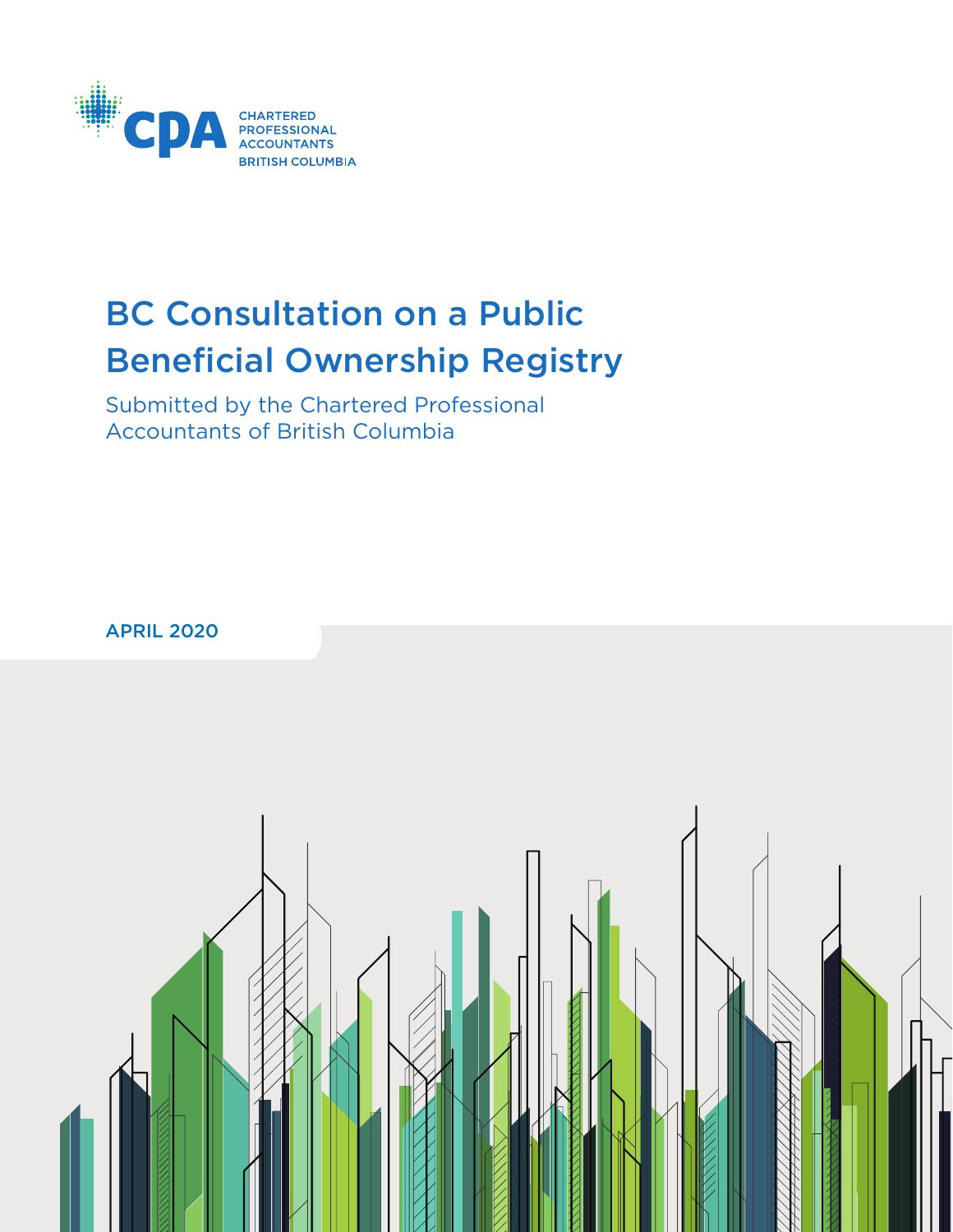

# BC Consultation on a Public Beneficial Ownership Registry

Submitted by the Chartered Professional Accountants of British Columbia

APRIL 2020

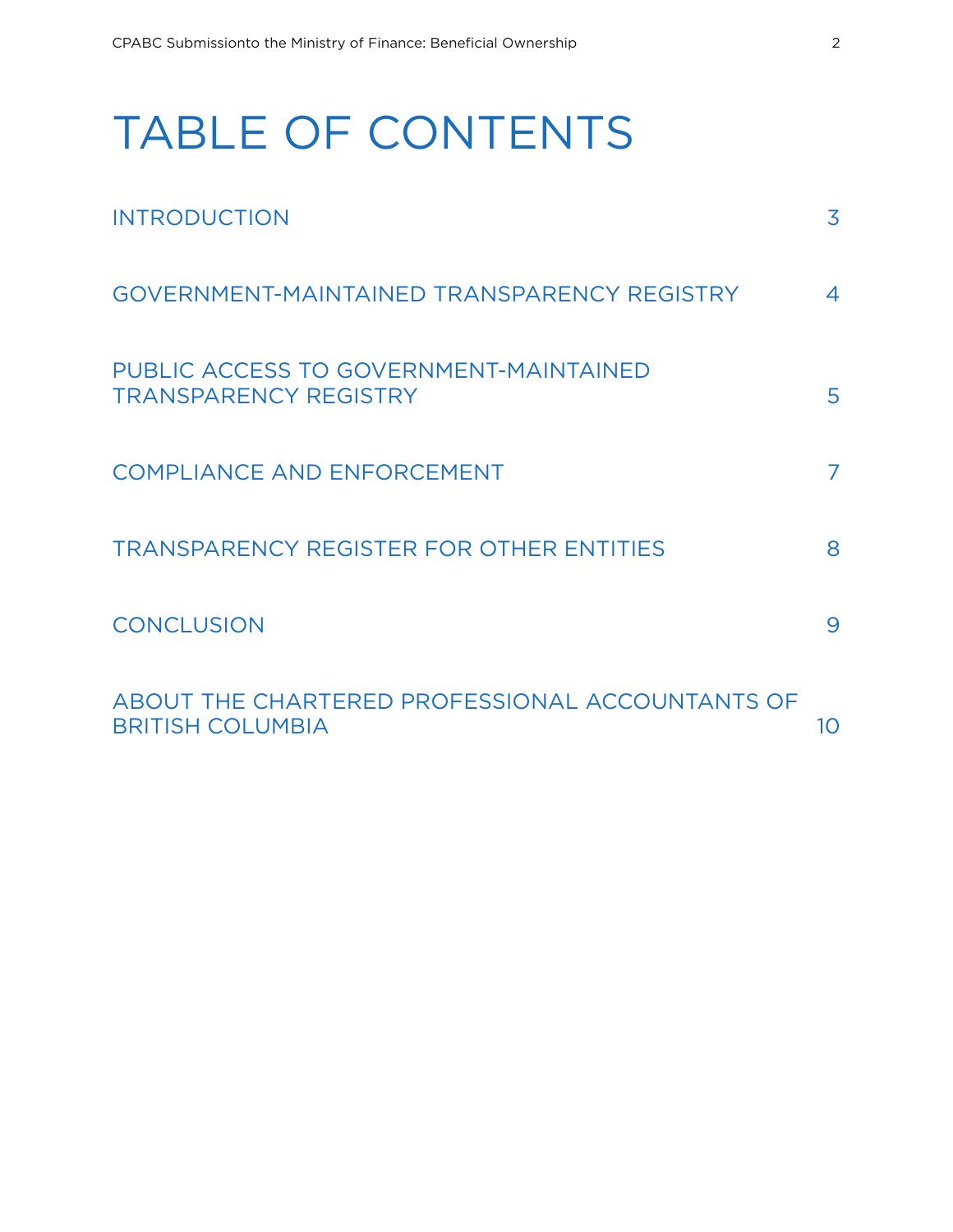# TABLE OF CONTENTS

| <b>INTRODUCTION</b>                                                        | 3  |
|----------------------------------------------------------------------------|----|
| GOVERNMENT-MAINTAINED TRANSPARENCY REGISTRY                                | 4  |
| PUBLIC ACCESS TO GOVERNMENT-MAINTAINED<br><b>TRANSPARENCY REGISTRY</b>     | 5  |
| <b>COMPLIANCE AND ENFORCEMENT</b>                                          | 7  |
| <b>TRANSPARENCY REGISTER FOR OTHER ENTITIES</b>                            | 8  |
| <b>CONCLUSION</b>                                                          | 9  |
| ABOUT THE CHARTERED PROFESSIONAL ACCOUNTANTS OF<br><b>BRITISH COLUMBIA</b> | 10 |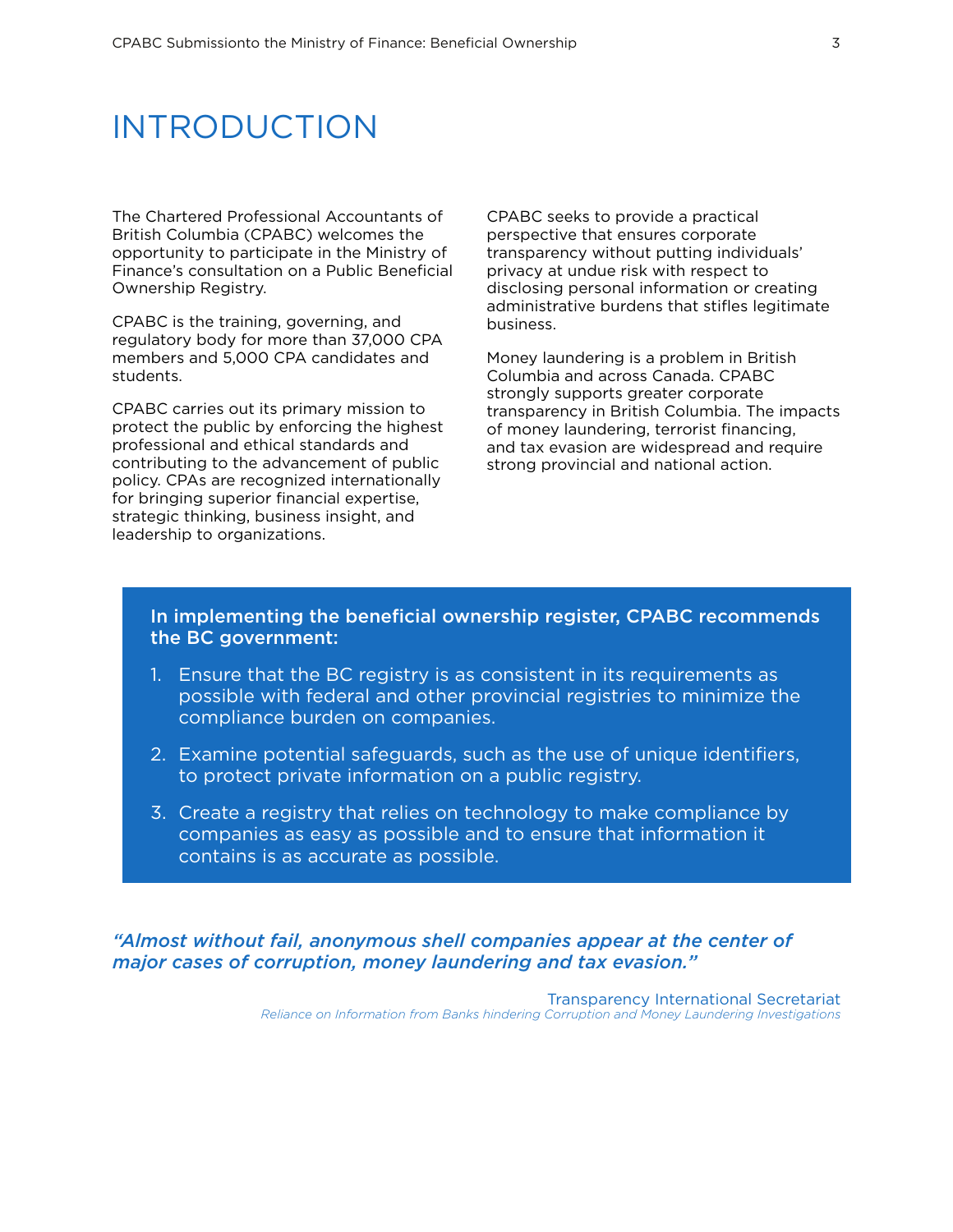### INTRODUCTION

The Chartered Professional Accountants of British Columbia (CPABC) welcomes the opportunity to participate in the Ministry of Finance's consultation on a Public Beneficial Ownership Registry.

CPABC is the training, governing, and regulatory body for more than 37,000 CPA members and 5,000 CPA candidates and students.

CPABC carries out its primary mission to protect the public by enforcing the highest professional and ethical standards and contributing to the advancement of public policy. CPAs are recognized internationally for bringing superior financial expertise, strategic thinking, business insight, and leadership to organizations.

CPABC seeks to provide a practical perspective that ensures corporate transparency without putting individuals' privacy at undue risk with respect to disclosing personal information or creating administrative burdens that stifles legitimate business.

Money laundering is a problem in British Columbia and across Canada. CPABC strongly supports greater corporate transparency in British Columbia. The impacts of money laundering, terrorist financing, and tax evasion are widespread and require strong provincial and national action.

### In implementing the beneficial ownership register, CPABC recommends the BC government:

- 1. Ensure that the BC registry is as consistent in its requirements as possible with federal and other provincial registries to minimize the compliance burden on companies.
- 2. Examine potential safeguards, such as the use of unique identifiers, to protect private information on a public registry.
- 3. Create a registry that relies on technology to make compliance by companies as easy as possible and to ensure that information it contains is as accurate as possible.

*"Almost without fail, anonymous shell companies appear at the center of major cases of corruption, money laundering and tax evasion."*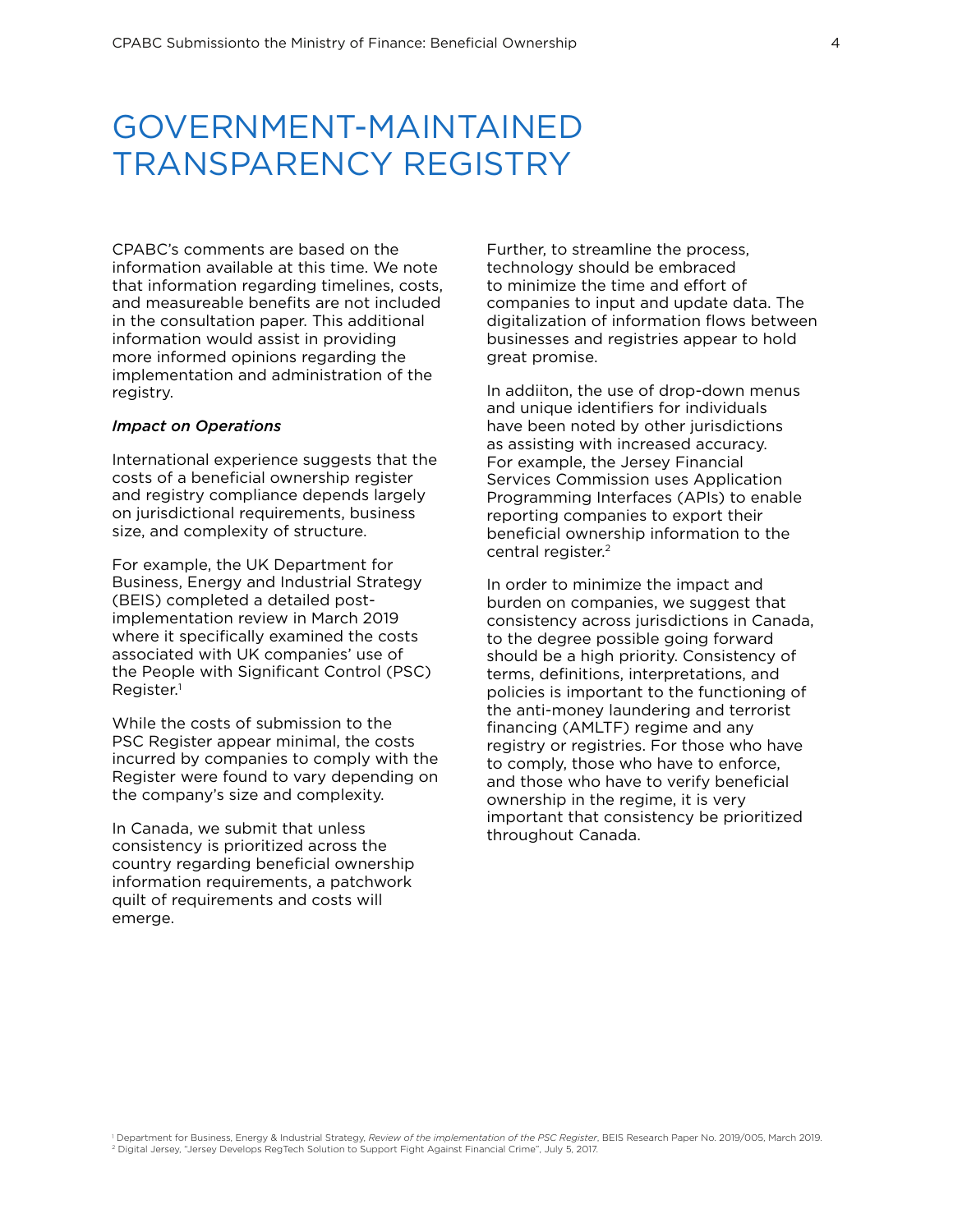## GOVERNMENT-MAINTAINED TRANSPARENCY REGISTRY

CPABC's comments are based on the information available at this time. We note that information regarding timelines, costs, and measureable benefits are not included in the consultation paper. This additional information would assist in providing more informed opinions regarding the implementation and administration of the registry.

#### *Impact on Operations*

International experience suggests that the costs of a beneficial ownership register and registry compliance depends largely on jurisdictional requirements, business size, and complexity of structure.

For example, the UK Department for Business, Energy and Industrial Strategy (BEIS) completed a detailed postimplementation review in March 2019 where it specifically examined the costs associated with UK companies' use of the People with Significant Control (PSC) Register.1

While the costs of submission to the PSC Register appear minimal, the costs incurred by companies to comply with the Register were found to vary depending on the company's size and complexity.

In Canada, we submit that unless consistency is prioritized across the country regarding beneficial ownership information requirements, a patchwork quilt of requirements and costs will emerge.

Further, to streamline the process, technology should be embraced to minimize the time and effort of companies to input and update data. The digitalization of information flows between businesses and registries appear to hold great promise.

In addiiton, the use of drop-down menus and unique identifiers for individuals have been noted by other jurisdictions as assisting with increased accuracy. For example, the Jersey Financial Services Commission uses Application Programming Interfaces (APIs) to enable reporting companies to export their beneficial ownership information to the central register.<sup>2</sup>

In order to minimize the impact and burden on companies, we suggest that consistency across jurisdictions in Canada, to the degree possible going forward should be a high priority. Consistency of terms, definitions, interpretations, and policies is important to the functioning of the anti-money laundering and terrorist financing (AMLTF) regime and any registry or registries. For those who have to comply, those who have to enforce, and those who have to verify beneficial ownership in the regime, it is very important that consistency be prioritized throughout Canada.

Department for Business, Energy & Industrial Strategy, Review of the implementation of the PSC Register, BEIS Research Paper No. 2019/005, March 2019. Digital Jersey, "Jersey Develops RegTech Solution to Support Fight Against Financial Crime", July 5, 2017.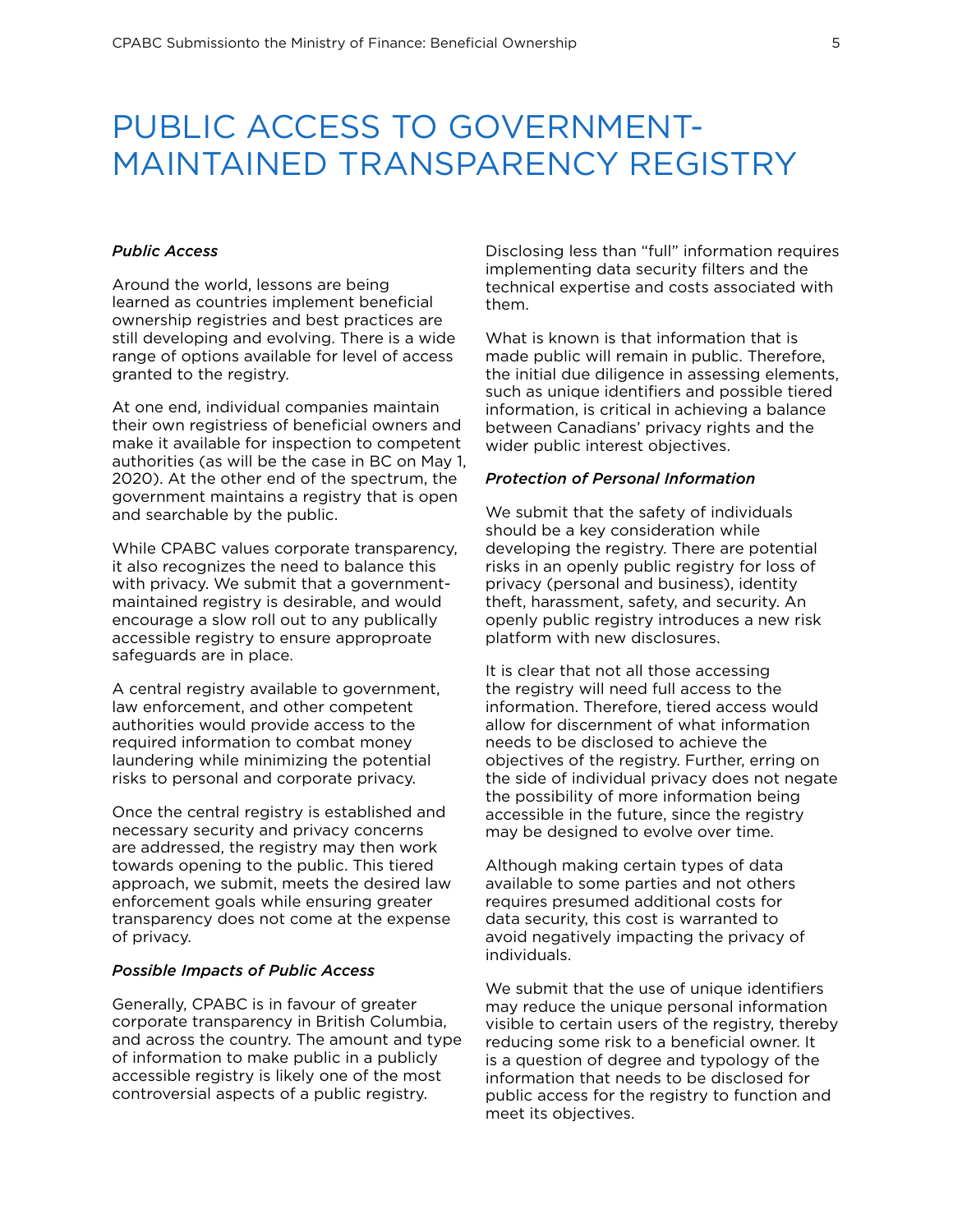# PUBLIC ACCESS TO GOVERNMENT-MAINTAINED TRANSPARENCY REGISTRY

#### *Public Access*

Around the world, lessons are being learned as countries implement beneficial ownership registries and best practices are still developing and evolving. There is a wide range of options available for level of access granted to the registry.

At one end, individual companies maintain their own registriess of beneficial owners and make it available for inspection to competent authorities (as will be the case in BC on May 1, 2020). At the other end of the spectrum, the government maintains a registry that is open and searchable by the public.

While CPABC values corporate transparency, it also recognizes the need to balance this with privacy. We submit that a governmentmaintained registry is desirable, and would encourage a slow roll out to any publically accessible registry to ensure approproate safeguards are in place.

A central registry available to government, law enforcement, and other competent authorities would provide access to the required information to combat money laundering while minimizing the potential risks to personal and corporate privacy.

Once the central registry is established and necessary security and privacy concerns are addressed, the registry may then work towards opening to the public. This tiered approach, we submit, meets the desired law enforcement goals while ensuring greater transparency does not come at the expense of privacy.

#### *Possible Impacts of Public Access*

Generally, CPABC is in favour of greater corporate transparency in British Columbia, and across the country. The amount and type of information to make public in a publicly accessible registry is likely one of the most controversial aspects of a public registry.

Disclosing less than "full" information requires implementing data security filters and the technical expertise and costs associated with them.

What is known is that information that is made public will remain in public. Therefore, the initial due diligence in assessing elements, such as unique identifiers and possible tiered information, is critical in achieving a balance between Canadians' privacy rights and the wider public interest objectives.

### *Protection of Personal Information*

We submit that the safety of individuals should be a key consideration while developing the registry. There are potential risks in an openly public registry for loss of privacy (personal and business), identity theft, harassment, safety, and security. An openly public registry introduces a new risk platform with new disclosures.

It is clear that not all those accessing the registry will need full access to the information. Therefore, tiered access would allow for discernment of what information needs to be disclosed to achieve the objectives of the registry. Further, erring on the side of individual privacy does not negate the possibility of more information being accessible in the future, since the registry may be designed to evolve over time.

Although making certain types of data available to some parties and not others requires presumed additional costs for data security, this cost is warranted to avoid negatively impacting the privacy of individuals.

We submit that the use of unique identifiers may reduce the unique personal information visible to certain users of the registry, thereby reducing some risk to a beneficial owner. It is a question of degree and typology of the information that needs to be disclosed for public access for the registry to function and meet its objectives.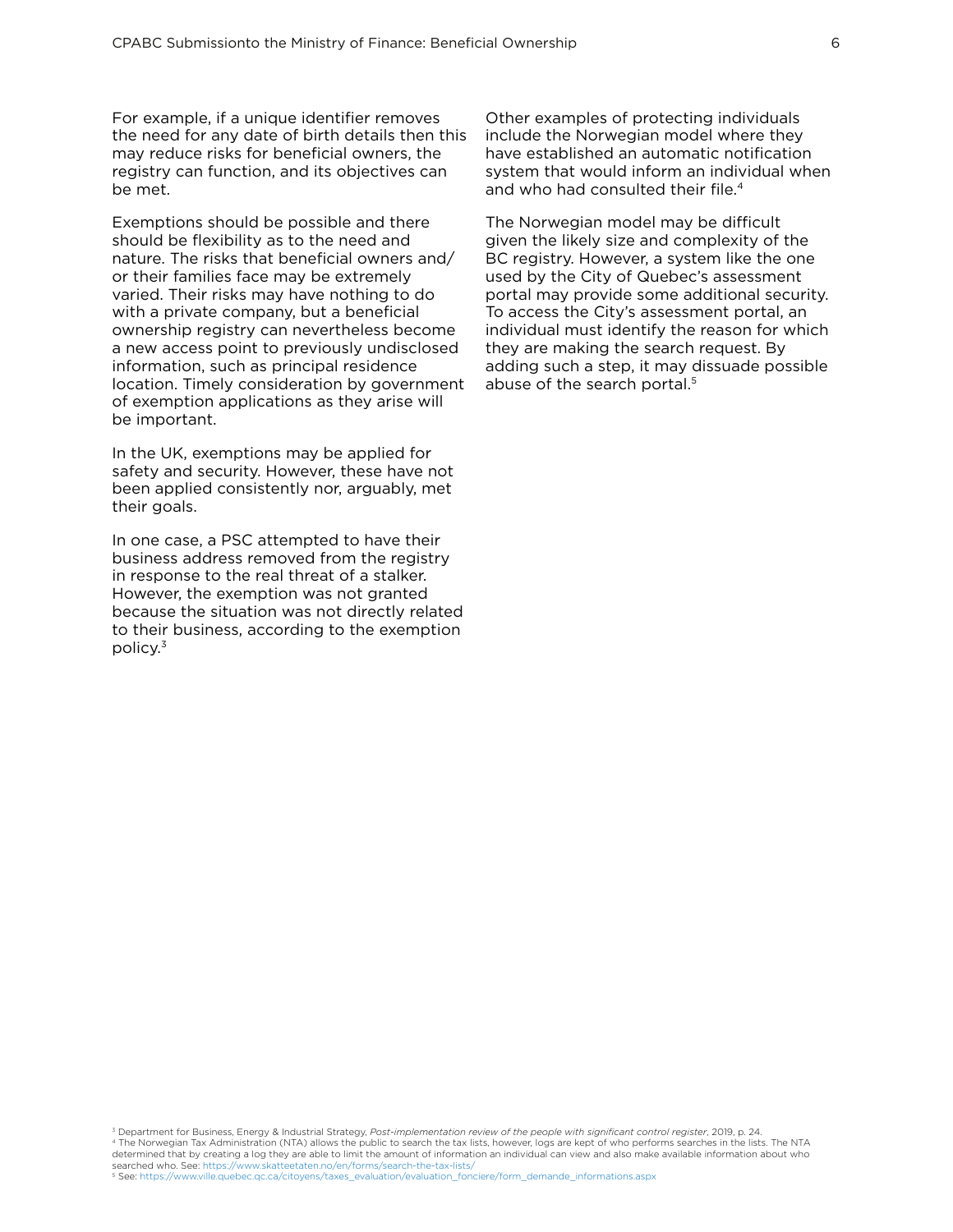For example, if a unique identifier removes the need for any date of birth details then this may reduce risks for beneficial owners, the registry can function, and its objectives can be met.

Exemptions should be possible and there should be flexibility as to the need and nature. The risks that beneficial owners and/ or their families face may be extremely varied. Their risks may have nothing to do with a private company, but a beneficial ownership registry can nevertheless become a new access point to previously undisclosed information, such as principal residence location. Timely consideration by government of exemption applications as they arise will be important.

In the UK, exemptions may be applied for safety and security. However, these have not been applied consistently nor, arguably, met their goals.

In one case, a PSC attempted to have their business address removed from the registry in response to the real threat of a stalker. However, the exemption was not granted because the situation was not directly related to their business, according to the exemption policy.3

Other examples of protecting individuals include the Norwegian model where they have established an automatic notification system that would inform an individual when and who had consulted their file.<sup>4</sup>

The Norwegian model may be difficult given the likely size and complexity of the BC registry. However, a system like the one used by the City of Quebec's assessment portal may provide some additional security. To access the City's assessment portal, an individual must identify the reason for which they are making the search request. By adding such a step, it may dissuade possible abuse of the search portal.<sup>5</sup>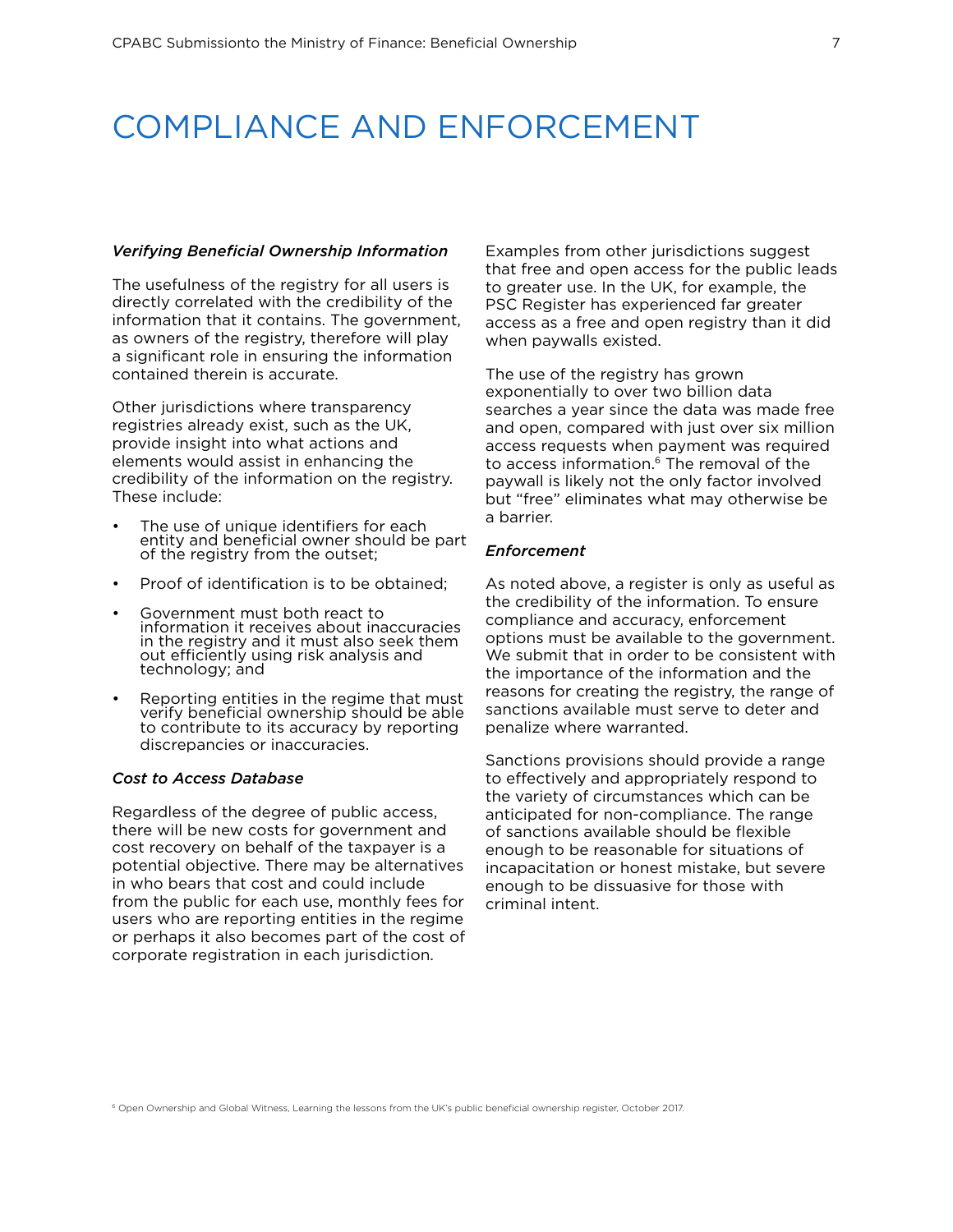### COMPLIANCE AND ENFORCEMENT

#### *Verifying Beneficial Ownership Information*

The usefulness of the registry for all users is directly correlated with the credibility of the information that it contains. The government, as owners of the registry, therefore will play a significant role in ensuring the information contained therein is accurate.

Other jurisdictions where transparency registries already exist, such as the UK, provide insight into what actions and elements would assist in enhancing the credibility of the information on the registry. These include:

- The use of unique identifiers for each entity and beneficial owner should be part of the registry from the outset;
- Proof of identification is to be obtained;
- Government must both react to information it receives about inaccuracies in the registry and it must also seek them out efficiently using risk analysis and technology; and
- Reporting entities in the regime that must verify beneficial ownership should be able to contribute to its accuracy by reporting discrepancies or inaccuracies.

#### *Cost to Access Database*

Regardless of the degree of public access, there will be new costs for government and cost recovery on behalf of the taxpayer is a potential objective. There may be alternatives in who bears that cost and could include from the public for each use, monthly fees for users who are reporting entities in the regime or perhaps it also becomes part of the cost of corporate registration in each jurisdiction.

Examples from other jurisdictions suggest that free and open access for the public leads to greater use. In the UK, for example, the PSC Register has experienced far greater access as a free and open registry than it did when paywalls existed.

The use of the registry has grown exponentially to over two billion data searches a year since the data was made free and open, compared with just over six million access requests when payment was required to access information.<sup>6</sup> The removal of the paywall is likely not the only factor involved but "free" eliminates what may otherwise be a barrier.

#### *Enforcement*

As noted above, a register is only as useful as the credibility of the information. To ensure compliance and accuracy, enforcement options must be available to the government. We submit that in order to be consistent with the importance of the information and the reasons for creating the registry, the range of sanctions available must serve to deter and penalize where warranted.

Sanctions provisions should provide a range to effectively and appropriately respond to the variety of circumstances which can be anticipated for non-compliance. The range of sanctions available should be flexible enough to be reasonable for situations of incapacitation or honest mistake, but severe enough to be dissuasive for those with criminal intent.

6 Open Ownership and Global Witness, Learning the lessons from the UK's public beneficial ownership register, October 2017.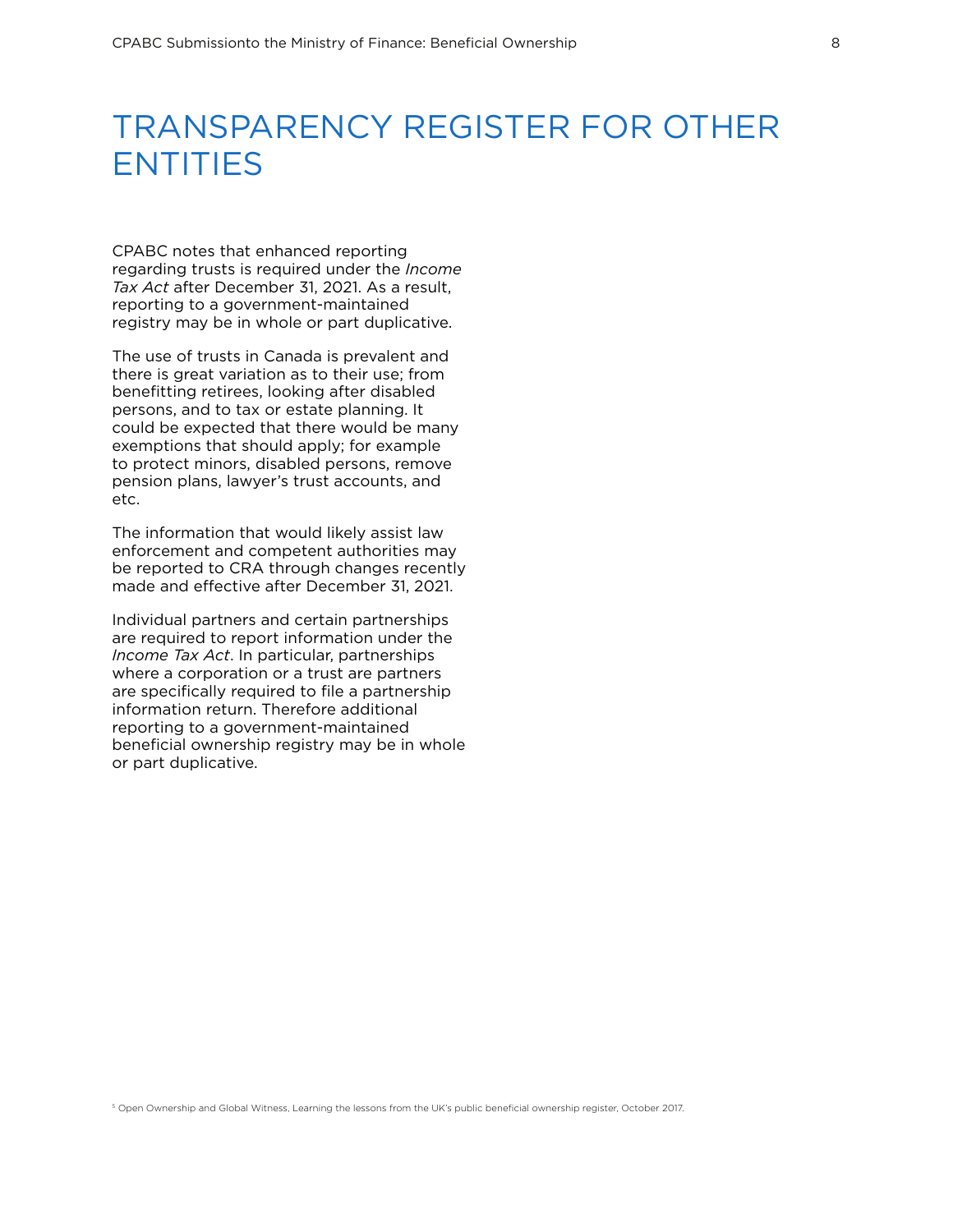# TRANSPARENCY REGISTER FOR OTHER ENTITIES

CPABC notes that enhanced reporting regarding trusts is required under the *Income Tax Act* after December 31, 2021. As a result, reporting to a government-maintained registry may be in whole or part duplicative.

The use of trusts in Canada is prevalent and there is great variation as to their use; from benefitting retirees, looking after disabled persons, and to tax or estate planning. It could be expected that there would be many exemptions that should apply; for example to protect minors, disabled persons, remove pension plans, lawyer's trust accounts, and etc.

The information that would likely assist law enforcement and competent authorities may be reported to CRA through changes recently made and effective after December 31, 2021.

Individual partners and certain partnerships are required to report information under the *Income Tax Act*. In particular, partnerships where a corporation or a trust are partners are specifically required to file a partnership information return. Therefore additional reporting to a government-maintained beneficial ownership registry may be in whole or part duplicative.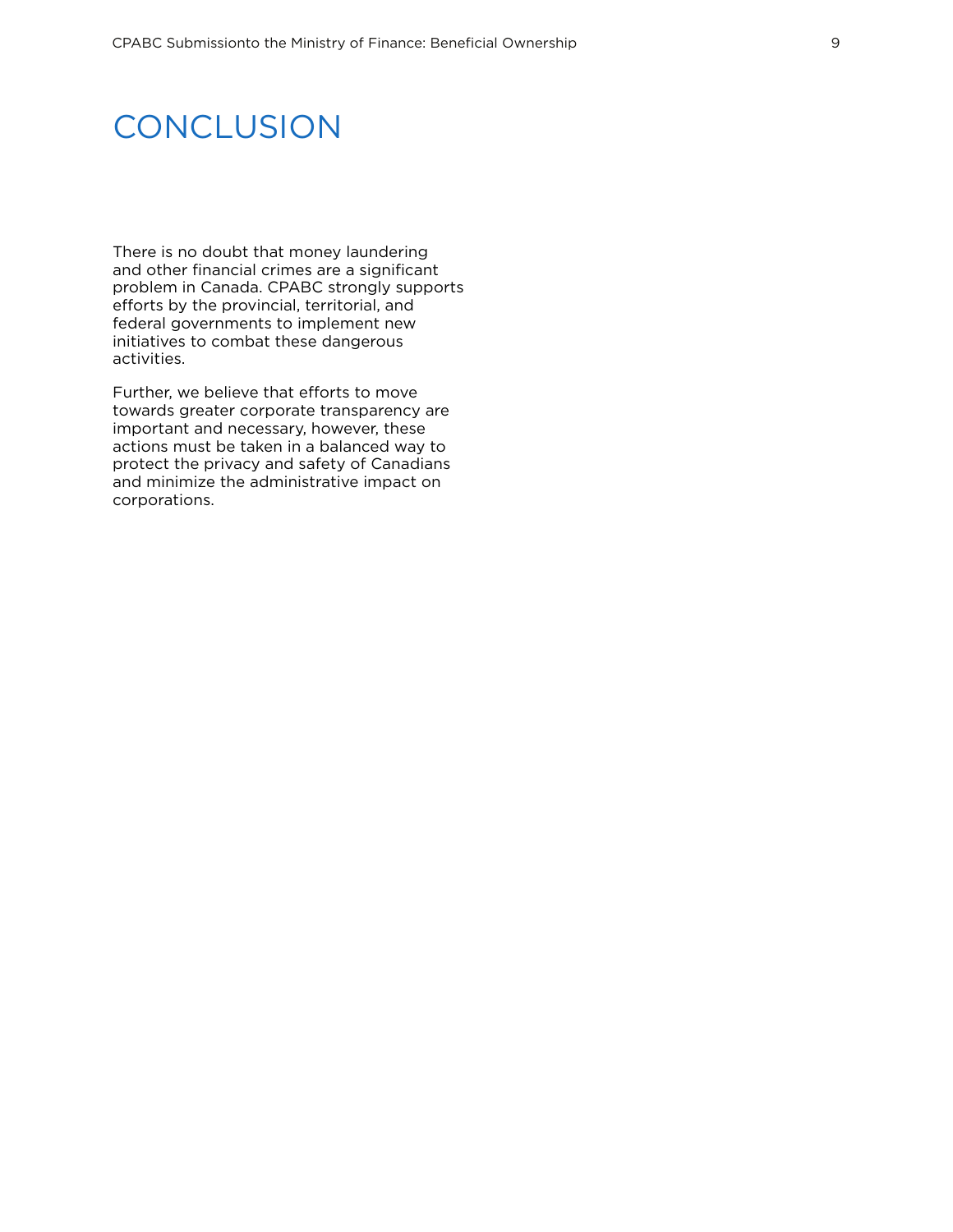### **CONCLUSION**

There is no doubt that money laundering and other financial crimes are a significant problem in Canada. CPABC strongly supports efforts by the provincial, territorial, and federal governments to implement new initiatives to combat these dangerous activities.

Further, we believe that efforts to move towards greater corporate transparency are important and necessary, however, these actions must be taken in a balanced way to protect the privacy and safety of Canadians and minimize the administrative impact on corporations.